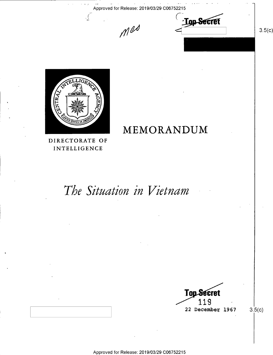Approved for Release: 2019/03/29 C06752215

 $M^{\omega}$  C<sub>10p</sub>Secret



v

MEMORANDUM

DIRECTORATE OF INTELLIGENCE

# The Situation in Vietnam

Top Secret 1 1 9  $22$  December 1967

 $3.5(c)$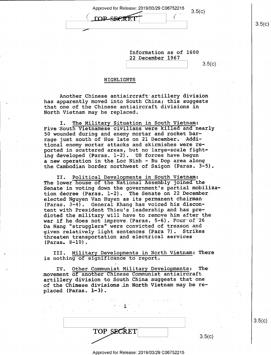| Approved for Release: 2019/03/29 C06752215 | 3.5(c) |
|--------------------------------------------|--------|
| <b>DOP-SECRET</b>                          |        |

 $3.5(c)$ 

| Information as of 1600 |  |  |
|------------------------|--|--|
| 22 December 1967       |  |  |
|                        |  |  |

\ \ s.5(¢)

#### H IGHL IGHTS

 $\overline{\phantom{0}}$ 

Another Chinese antiaircraft artillery division has apparently moved into South China; this suggests that one of the Chinese antiaircraft divisions in North Vietnam may be replaced.

I. The Military Situation in South Vietnam: Five South Vietnamese civilians were killed and nearly 50 wounded during and enemy mortar and rocket barrage just south of Hue late on 21 December. Additional enemy mortar attacks and skirmishes were reported in scattered areas, but no large-scale fighting developed (Paras. 1-2). US forces have begun a new operation in the Loc Ninh - Bu Dop area along the Cambodian border northwest of Saigon (Paras. 3-5).

II. Political Developments in South Vietnam: The lower house of the National Assembly joined the Senate in voting down the government's partial mobilization decree (Paras. l-2). The Senate on 22 December elected Nguyen Van Huyen as its permanent chairman (Paras. 3-4). General Khang has voiced his discontent with President Thieu's leadership and has predicted the military will have to remove him after the war if he does not improve (Paras. 5-6). Four of 26 Da Nang "strugglers" were convicted of treason and given relatively light sentences (Para 7). Strikes threaten transportation and electrical services (Paras. 8-10).

III. Military Developments in North Vietnam: There is nothing of significance to report.

'IV. Other Communist Military Developments: Themovement of another Chinese Communist antiaircraft artillery division to South China suggests that one of the Chinese divisions in North Vietnam may be replaced (Paras. l—3).

 $\cdot$   $\cdot$  i  $\cdot$ 

 $\text{TOP}$  SECRET  $\boxed{\qquad \qquad}$  3.5(c)

 $3.5(c)$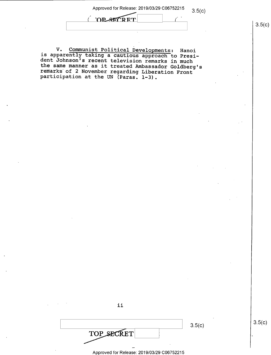Approved for Release: 2019/03/29 C06752215 3.5(c)

 $($  OP SECRET

V. Communist Political Developments: Hanoi<br>is apparently taking a cautious approach to Presi-<br>dent Johnson's recent television remarks in much<br>the same manner as it treated Ambassador Goldberg's<br>remarks of 2 November regar

|                                            | 3.5(c) |
|--------------------------------------------|--------|
| TOP SECRET                                 |        |
|                                            |        |
| Approved for Release: 2019/03/29 C06752215 |        |

ii

 $3.5(c)$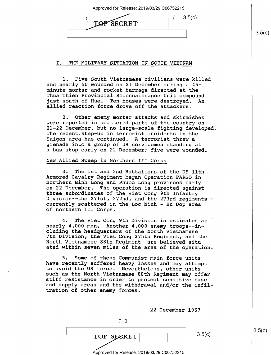Approved for Release: 2019/03/29 C06752215

| <b>SECRET</b> |  | 3.5(c) |
|---------------|--|--------|
|               |  |        |

#### I." THE MILITARY SITUATION IN SOUTH VIETNAM

l. Five South Vietnamese civilians were killed and nearly 50 wounded on 21 December during a 45 minute mortar and rocket barrage directed at the Thua Thien Provincial Reconnaissance Unit compound<br>just south of Hue. Ten houses were destroved. An just south of Hue. Ten houses were destroyed. allied reaction force drove off the attackers.

2. Other enemy mortar attacks and skirmishes<br>were reported in scattered parts of the country on 21-22 December, but no large-scale fighting developed. The recent step-up in terrorist incidents in the Saigon area has continued. A terrorist threw a grenade into a group of US servicemen standing at a bus stop early on 22 December; five were wounded.

### New Allied Sweep in Northern III Corps

3. The 1st and 2nd Battalions of the US 11th<br>Armored Cavalry Regiment began Operation FARGO in northern Binh Long and Phuoc Long provinces early on 22 December. The operation is directed against three subordinates of the Viet Cong 9th Infantry Division--the 271st, 272nd, and the 273rd regiments-currently scattered in the Loc Ninh — Bu Dop area of northern III Corps.

4. The Viet Cong 9th Division is estimated at ' nearly 4,000 men. Another 4,000 enemy troops--including the headquarters of the North Vietnamese 7th Division, the Viet Cong 275th Regiment, and the North Vietnamese 88th Regiment—-are believed situated within seven miles of the area of the operation.

5. Some of these Communist main force units have recently suffered heavy losses and may attempt to avoid the US force. Nevertheless, other units<br>such as the North Vietnamese 88th Regiment may offer stiff resistance in order to protect sensitive base<br>and supply areas and the withdrawal and/or the infiltration of other enemy forces.

| 22 December 1967                           |        |
|--------------------------------------------|--------|
| $T-1$                                      |        |
| <b>TOP SECRET</b>                          | 3.5(c) |
| Approved for Release: 2019/03/29 C06752215 |        |

 $3.5(c)$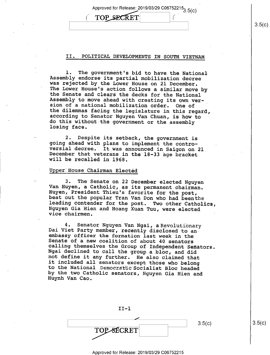Approved for Release: 2019/03/29 C06/522153.5(c)

 $\mathcal{C}^{\pm}$ 

#### II. POLITICAL DEVELOPMENTS IN SOUTH VIETNAM

**TOP SECRET** 

1. The government's bid to have the National<br>Assembly endorse its partial mobilization decree<br>was rejected by the Lower House on 21 December.<br>The Lower House's action follows a similar move by<br>the Senate and clears the dec

2. Despite its setback, the government is<br>going ahead with plans to implement the contro-<br>versial decree. It was announced in Saigon on 2l<br>December that veterans in the 18-33 age bracket<br>will be recalled in 1968.

## Upper House Chairman Elected

 $\mathcal{L}_{\mathcal{L}}$ 

3. The Senate on 22 December elected Nguyen<br>Van Huyen, a Catholic, as its permanent chairman.<br>Huyen, President Thieu's favorite for the post,<br>beat out the popular Tran Van Don who had been the<br>leading contender for the pos

4. Senator Nguyen Van Ngai, a Revolutionary<br>Dai Viet Party member, recently disclosed to an<br>embassy officer the formation last week in the<br>Senate of a new coalition of about 40 senators<br>calling themselves the Group of Inde



#### Approved for Release: 2019/03/29 C06752215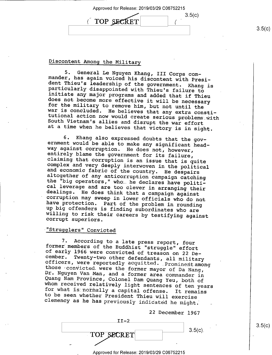| Approved for Release: 2019/03/29 C06752215 |        |  |
|--------------------------------------------|--------|--|
| TOP SECRET                                 | 3.5(c) |  |
|                                            |        |  |

 $3.5(c)$ 

 $3.5(c)$ 

## Discontent Among the Military

5. General Le Nguyen Khang, III Corps com-<br>mander, has again voiced his discontent with Presi-<br>dent Thieu's leadership of the government. Khang is<br>particularly disappointed with Thieu's failure to<br>initiate any major progra

6. Khang also expressed doubts that the gov-<br>ernment would be able to make any significant head-<br>way against corruption. He does not, however,<br>entirely blame the government for its failure,<br>claiming that corruption is an i corruption may sweep in lower officials who do not<br>have protection. Part of the problem in rounding<br>up big offenders is finding subordinates who are<br>willing to risk their careers by testifying against<br>corrupt superiors.

## -"Strugglers" Convicted

7. According to a late press report, four<br>former members of the Buddhist "struggle" effort<br>of early 1966 were convicted of treason on 22 December. Twenty-two other defendants, all military<br>officers, were reportedly acquitted. Prominent among<br>those convicted were the former mayor of Da Nang,<br>Dr. Nguyen Van Man, and a former area commander in<br>Quang Nam Province

22 December 1967

| $TT-2$            |            |
|-------------------|------------|
| <b>TOP SECRET</b> | $3.5(c)$ . |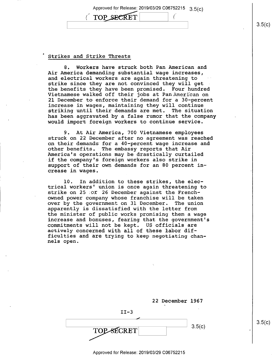Approved for Release: 2019/03/29 C06752215 3.5(c) TOP SECRET

#### Strikes and Strike Threats

8. Workers have struck.both Pan American and Air America demanding substantial wage increases, and electrical workers are again threatening to strike since they are not convinced they will get the benefits they have been promised. Four hundred Vietnamese walked off their jobs at Pan American on 21 December to enforce their demand for a 30—percent increase in wages, maintaining they will continue striking until their demands are met. The situation has been aggravated by a false rumor that the company would import foreign workers to continue service.

9. At Air America, 700 Vietnamese employees struck on 22 December after no agreement was reached on their demands for a 40-percent wage increase and other benefits. "The embassy reports that Air America's operations may be drastically curtailed if the company's foreign workers also strike in support of their own demands for an 80 percent increase in wages.

l0. In addition to these strikes, the electrical workers' union is once again threatening to strike on 25 :or 26 December against the Frenchowned power company whose franchise will be taken<br>over by the government on 31 December. The union over by the government on 31 December. apparently is dissatisfied with the letter from the minister of public works promising them a wage increase and bonuses, fearing that the government's commitments will not be kept. US officials are actively concerned with all of these labor difficulties and are trying to keep negotiating channels open.

|            | 22 December 1967<br>۰. |        |
|------------|------------------------|--------|
| $II-3$     |                        |        |
|            |                        |        |
| TOP-SECRET |                        | 3.5(c) |

 $3.5(c)$ 

 $3.5(c)$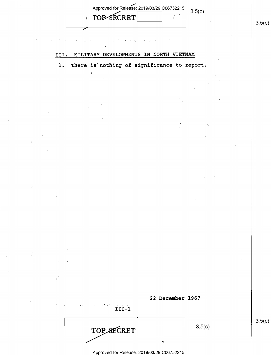| Approved for Release: 2019/03/29 C06752215<br><b>TOP SECRET</b> | 3.5(c) |  |
|-----------------------------------------------------------------|--------|--|
|                                                                 |        |  |

## III. MILITARY DEVELOPMENTS IN NORTH VIETNAM

## 1. There is nothing of significance to report.

22 December 1967

|            | 3.5(c) |  |
|------------|--------|--|
| TOP SECRET |        |  |
|            |        |  |

I II—l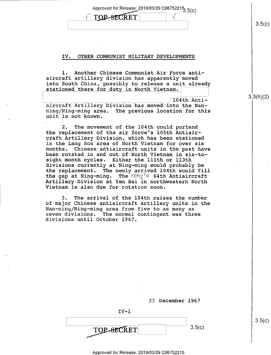Approved for Release: 2019/03/29 C06752215 $3.5(c)$ 

**{** 

| -<br>.<br>سعسرير |  |
|------------------|--|
|                  |  |

#### IV. OTHER COMMUNIST MILITARY DEVELOPMENTS

l. Another Chinese Communist Air Force antiaircraft artillery division has apparently moved into South China, possibly to release a unit already stationed there for duty in North Vietnam.

 $/104$ th Antiaircraft Artillery Division has moved into the Nanning/Ning—ming area. The previous location for this unit is not known.

2. The movement of the 104th could portend the replacement of the air force's 105th Antiair craft Artillery Division, which has been stationed in the Lang Son area of North Vietnam for over six months. Chinese antiaircraft units in the past have been rotated in and out of North Vietnam in six-toeight month cycles. Either the lllth or 113th divisions currently at Ning—ming would probably be the replacement. The newly arrived 104th would fill the gap at Ning-ming. The exmy's 64th Antiaircraft Artillery Division at Yen Bai in northwestern North Vietnam is also due for rotation soon.

3. The arrival of the 104th raises the number of major Chinese antiaircraft artillery units in the Nan-ning/Ning-ming area from five to as many as seven divisions. The normal contingent was three divisions until October l967.

22 December 1967

 $IV-1$  $3.5(c)$ **TOP-SECRET** 

 $3.5(c)$ 

 $3.5(c)$ 

3.3(h)(2)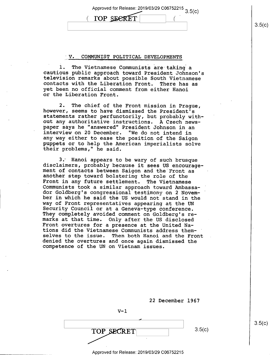Approved for Release: 2019/03/29 C06752215  $3.5(c)$ 

#### V. COMMUNIST POLITICAL DEVELOPMENTS

(TOP SECRET

l. The Vietnamese Communists are taking a<br>cautious public approach toward President Johnson's<br>television remarks about possible South Vietnamese<br>contacts with the Liberation Front. There has as yet been no official comment from either Hanoi or the Liberation Front.

2. The chief of the Front mission in Prague,<br>however, seems to have dismissed the President's<br>statements rather perfunctorily, but probably with-<br>out any authoritative instructions. A Czech news-<br>paper says he "answered" P any way either to ease the position of the Saigon puppets or to help the American imperialists solve their problems," he said.

3.' Hanoi appears to be wary of such brusque disclaimers, probably because it sees US encourage— ment of contacts between Saigon and the Front as another step toward bolstering the role of the Front in any future settlement. The Vietnamese<br>Communists took a similar approach toward Ambassador Goldberg's congressional testimony on 2 Novem-<br>ber in which he said the US would not stand in the<br>way of Front representatives appearing at the UN Security Council or at a Geneva-type conference.<br>They completely avoided comment on Goldberg's re-<br>marks at that time. Only after the US disclosed Front overtures for a presence at the United Nations did the Vietnamese Communists address them-<br>selves to the issue. Then both Hanoi and the Front denied the overtures and once again dismissed the competence of the UN on Vietnam issues.

|                              | 22 December 1967 |        |
|------------------------------|------------------|--------|
| $V-1$                        |                  |        |
| TOP SECRET<br>$\blacksquare$ |                  | 3.5(c) |

i Approved for Release: 2019/03/29 C06752215

 $3.5(c)$